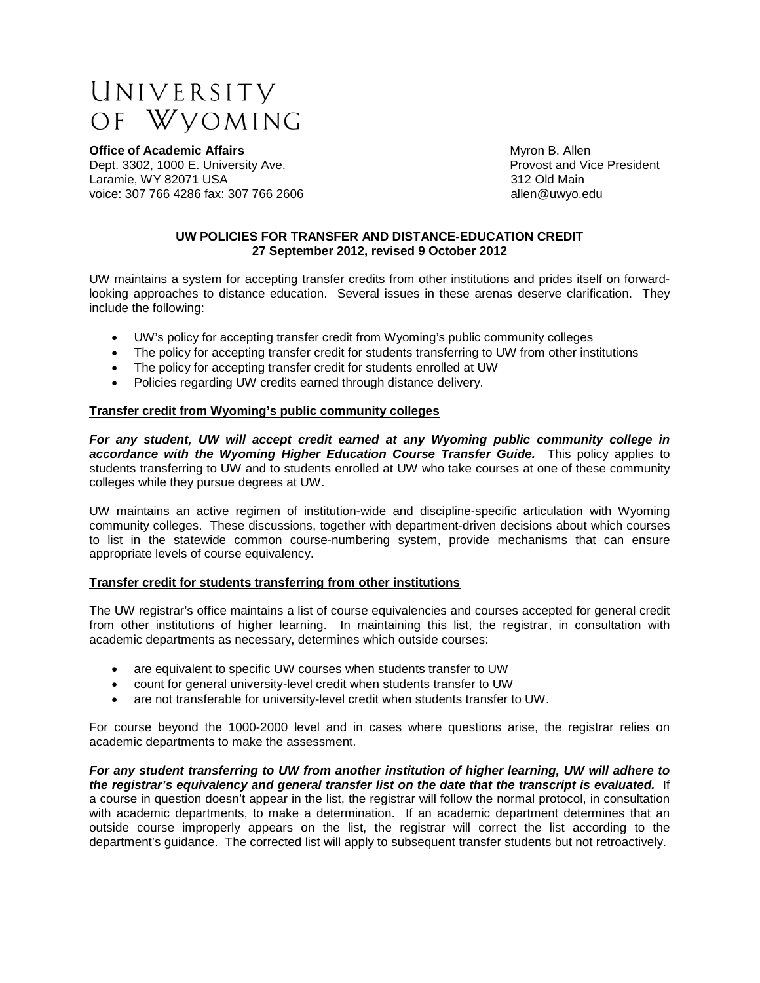# UNIVERSITY OF WVOMING

**Office of Academic Affairs Contract Academic Affairs Contract Academic Affairs Myron B. Allen**<br> **Dept. 3302, 1000 E. University Ave.** Contract Academic Memory of Provost and Vice President Dept. 3302, 1000 E. University Ave.<br>
Laramie. WY 82071 USA Provost and Vice President Ave. Provost and Vice President Ave. Laramie, WY 82071 USA voice: 307 766 4286 fax: 307 766 2606 **big and the set of the set of the set of the set of the set of the set of the set of the set of the set of the set of the set of the set of the set of the set of the set of the set of** 

## **UW POLICIES FOR TRANSFER AND DISTANCE-EDUCATION CREDIT 27 September 2012, revised 9 October 2012**

UW maintains a system for accepting transfer credits from other institutions and prides itself on forwardlooking approaches to distance education. Several issues in these arenas deserve clarification. They include the following:

- UW's policy for accepting transfer credit from Wyoming's public community colleges
- The policy for accepting transfer credit for students transferring to UW from other institutions
- The policy for accepting transfer credit for students enrolled at UW
- Policies regarding UW credits earned through distance delivery.

## **Transfer credit from Wyoming's public community colleges**

*For any student, UW will accept credit earned at any Wyoming public community college in accordance with the Wyoming Higher Education Course Transfer Guide.* This policy applies to students transferring to UW and to students enrolled at UW who take courses at one of these community colleges while they pursue degrees at UW.

UW maintains an active regimen of institution-wide and discipline-specific articulation with Wyoming community colleges. These discussions, together with department-driven decisions about which courses to list in the statewide common course-numbering system, provide mechanisms that can ensure appropriate levels of course equivalency.

## **Transfer credit for students transferring from other institutions**

The UW registrar's office maintains a list of course equivalencies and courses accepted for general credit from other institutions of higher learning. In maintaining this list, the registrar, in consultation with academic departments as necessary, determines which outside courses:

- are equivalent to specific UW courses when students transfer to UW
- count for general university-level credit when students transfer to UW
- are not transferable for university-level credit when students transfer to UW.

For course beyond the 1000-2000 level and in cases where questions arise, the registrar relies on academic departments to make the assessment.

*For any student transferring to UW from another institution of higher learning, UW will adhere to the registrar's equivalency and general transfer list on the date that the transcript is evaluated.* If a course in question doesn't appear in the list, the registrar will follow the normal protocol, in consultation with academic departments, to make a determination. If an academic department determines that an outside course improperly appears on the list, the registrar will correct the list according to the department's guidance. The corrected list will apply to subsequent transfer students but not retroactively.